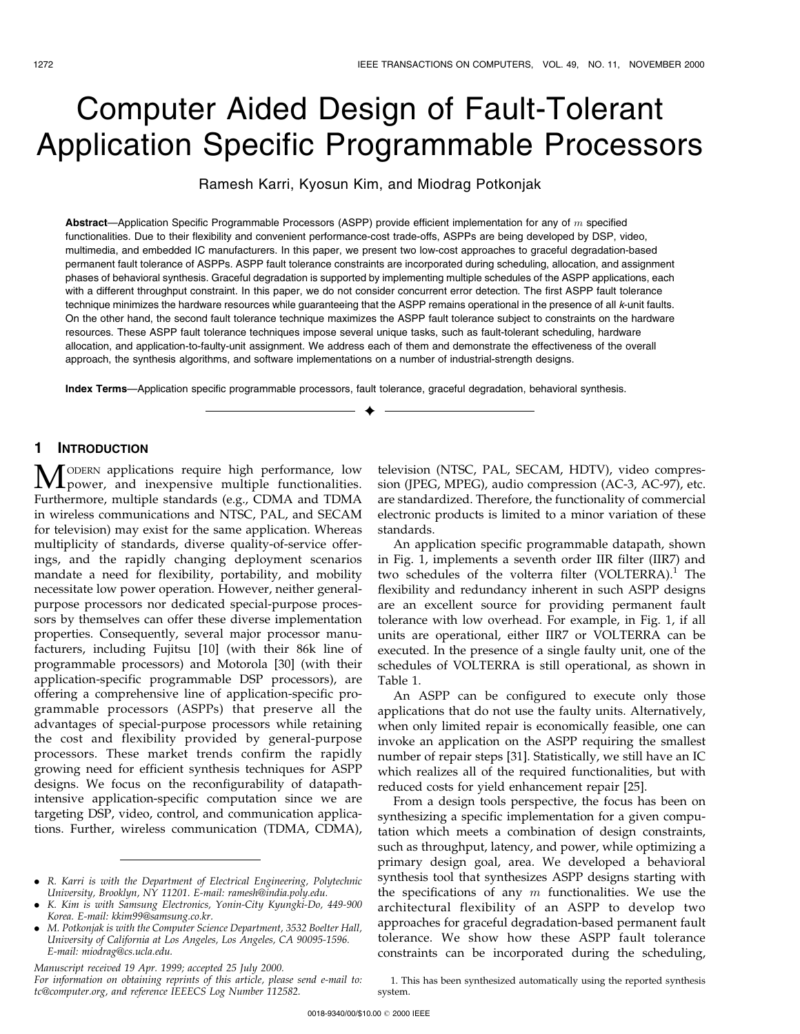# Computer Aided Design of Fault-Tolerant Application Specific Programmable Processors

Ramesh Karri, Kyosun Kim, and Miodrag Potkonjak

Abstract—Application Specific Programmable Processors (ASPP) provide efficient implementation for any of  $m$  specified functionalities. Due to their flexibility and convenient performance-cost trade-offs, ASPPs are being developed by DSP, video, multimedia, and embedded IC manufacturers. In this paper, we present two low-cost approaches to graceful degradation-based permanent fault tolerance of ASPPs. ASPP fault tolerance constraints are incorporated during scheduling, allocation, and assignment phases of behavioral synthesis. Graceful degradation is supported by implementing multiple schedules of the ASPP applications, each with a different throughput constraint. In this paper, we do not consider concurrent error detection. The first ASPP fault tolerance technique minimizes the hardware resources while guaranteeing that the ASPP remains operational in the presence of all k-unit faults. On the other hand, the second fault tolerance technique maximizes the ASPP fault tolerance subject to constraints on the hardware resources. These ASPP fault tolerance techniques impose several unique tasks, such as fault-tolerant scheduling, hardware allocation, and application-to-faulty-unit assignment. We address each of them and demonstrate the effectiveness of the overall approach, the synthesis algorithms, and software implementations on a number of industrial-strength designs.

æ

Index Terms-Application specific programmable processors, fault tolerance, graceful degradation, behavioral synthesis.

# 1 INTRODUCTION

MODERN applications require high performance, low<br>power, and inexpensive multiple functionalities. Furthermore, multiple standards (e.g., CDMA and TDMA in wireless communications and NTSC, PAL, and SECAM for television) may exist for the same application. Whereas multiplicity of standards, diverse quality-of-service offerings, and the rapidly changing deployment scenarios mandate a need for flexibility, portability, and mobility necessitate low power operation. However, neither generalpurpose processors nor dedicated special-purpose processors by themselves can offer these diverse implementation properties. Consequently, several major processor manufacturers, including Fujitsu [10] (with their 86k line of programmable processors) and Motorola [30] (with their application-specific programmable DSP processors), are offering a comprehensive line of application-specific programmable processors (ASPPs) that preserve all the advantages of special-purpose processors while retaining the cost and flexibility provided by general-purpose processors. These market trends confirm the rapidly growing need for efficient synthesis techniques for ASPP designs. We focus on the reconfigurability of datapathintensive application-specific computation since we are targeting DSP, video, control, and communication applications. Further, wireless communication (TDMA, CDMA),

Manuscript received 19 Apr. 1999; accepted 25 July 2000.

For information on obtaining reprints of this article, please send e-mail to: tc@computer.org, and reference IEEECS Log Number 112582.

television (NTSC, PAL, SECAM, HDTV), video compression (JPEG, MPEG), audio compression (AC-3, AC-97), etc. are standardized. Therefore, the functionality of commercial electronic products is limited to a minor variation of these standards.

An application specific programmable datapath, shown in Fig. 1, implements a seventh order IIR filter (IIR7) and two schedules of the volterra filter (VOLTERRA).<sup>1</sup> The flexibility and redundancy inherent in such ASPP designs are an excellent source for providing permanent fault tolerance with low overhead. For example, in Fig. 1, if all units are operational, either IIR7 or VOLTERRA can be executed. In the presence of a single faulty unit, one of the schedules of VOLTERRA is still operational, as shown in Table 1.

An ASPP can be configured to execute only those applications that do not use the faulty units. Alternatively, when only limited repair is economically feasible, one can invoke an application on the ASPP requiring the smallest number of repair steps [31]. Statistically, we still have an IC which realizes all of the required functionalities, but with reduced costs for yield enhancement repair [25].

From a design tools perspective, the focus has been on synthesizing a specific implementation for a given computation which meets a combination of design constraints, such as throughput, latency, and power, while optimizing a primary design goal, area. We developed a behavioral synthesis tool that synthesizes ASPP designs starting with the specifications of any  $m$  functionalities. We use the architectural flexibility of an ASPP to develop two approaches for graceful degradation-based permanent fault tolerance. We show how these ASPP fault tolerance constraints can be incorporated during the scheduling,

1. This has been synthesized automatically using the reported synthesis system.

<sup>.</sup> R. Karri is with the Department of Electrical Engineering, Polytechnic University, Brooklyn, NY 11201. E-mail: ramesh@india.poly.edu.

<sup>.</sup> K. Kim is with Samsung Electronics, Yonin-City Kyungki-Do, 449-900 Korea. E-mail: kkim99@samsung.co.kr.

<sup>.</sup> M. Potkonjak is with the Computer Science Department, 3532 Boelter Hall, University of California at Los Angeles, Los Angeles, CA 90095-1596. E-mail: miodrag@cs.ucla.edu.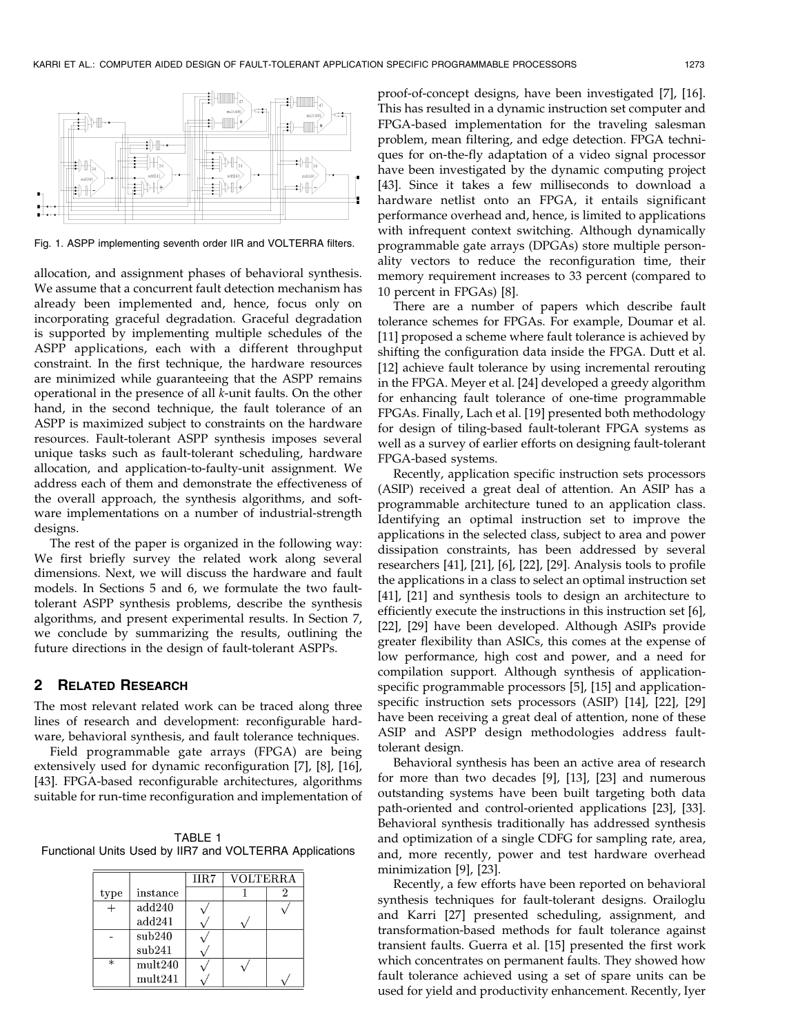

Fig. 1. ASPP implementing seventh order IIR and VOLTERRA filters.

allocation, and assignment phases of behavioral synthesis. We assume that a concurrent fault detection mechanism has already been implemented and, hence, focus only on incorporating graceful degradation. Graceful degradation is supported by implementing multiple schedules of the ASPP applications, each with a different throughput constraint. In the first technique, the hardware resources are minimized while guaranteeing that the ASPP remains operational in the presence of all k-unit faults. On the other hand, in the second technique, the fault tolerance of an ASPP is maximized subject to constraints on the hardware resources. Fault-tolerant ASPP synthesis imposes several unique tasks such as fault-tolerant scheduling, hardware allocation, and application-to-faulty-unit assignment. We address each of them and demonstrate the effectiveness of the overall approach, the synthesis algorithms, and software implementations on a number of industrial-strength designs.

The rest of the paper is organized in the following way: We first briefly survey the related work along several dimensions. Next, we will discuss the hardware and fault models. In Sections 5 and 6, we formulate the two faulttolerant ASPP synthesis problems, describe the synthesis algorithms, and present experimental results. In Section 7, we conclude by summarizing the results, outlining the future directions in the design of fault-tolerant ASPPs.

# 2 RELATED RESEARCH

The most relevant related work can be traced along three lines of research and development: reconfigurable hardware, behavioral synthesis, and fault tolerance techniques.

Field programmable gate arrays (FPGA) are being extensively used for dynamic reconfiguration [7], [8], [16], [43]. FPGA-based reconfigurable architectures, algorithms suitable for run-time reconfiguration and implementation of

TABLE 1 Functional Units Used by IIR7 and VOLTERRA Applications

|      |          | IIR.7 | <b>VOLTERRA</b> |  |
|------|----------|-------|-----------------|--|
| type | instance |       |                 |  |
|      | add240   |       |                 |  |
|      | add241   |       |                 |  |
|      | sub240   |       |                 |  |
|      | sub241   |       |                 |  |
| *    | mult240  |       |                 |  |
|      | mult241  |       |                 |  |

proof-of-concept designs, have been investigated [7], [16]. This has resulted in a dynamic instruction set computer and FPGA-based implementation for the traveling salesman problem, mean filtering, and edge detection. FPGA techniques for on-the-fly adaptation of a video signal processor have been investigated by the dynamic computing project [43]. Since it takes a few milliseconds to download a hardware netlist onto an FPGA, it entails significant performance overhead and, hence, is limited to applications with infrequent context switching. Although dynamically programmable gate arrays (DPGAs) store multiple personality vectors to reduce the reconfiguration time, their memory requirement increases to 33 percent (compared to 10 percent in FPGAs) [8].

There are a number of papers which describe fault tolerance schemes for FPGAs. For example, Doumar et al. [11] proposed a scheme where fault tolerance is achieved by shifting the configuration data inside the FPGA. Dutt et al. [12] achieve fault tolerance by using incremental rerouting in the FPGA. Meyer et al. [24] developed a greedy algorithm for enhancing fault tolerance of one-time programmable FPGAs. Finally, Lach et al. [19] presented both methodology for design of tiling-based fault-tolerant FPGA systems as well as a survey of earlier efforts on designing fault-tolerant FPGA-based systems.

Recently, application specific instruction sets processors (ASIP) received a great deal of attention. An ASIP has a programmable architecture tuned to an application class. Identifying an optimal instruction set to improve the applications in the selected class, subject to area and power dissipation constraints, has been addressed by several researchers [41], [21], [6], [22], [29]. Analysis tools to profile the applications in a class to select an optimal instruction set [41], [21] and synthesis tools to design an architecture to efficiently execute the instructions in this instruction set [6], [22], [29] have been developed. Although ASIPs provide greater flexibility than ASICs, this comes at the expense of low performance, high cost and power, and a need for compilation support. Although synthesis of applicationspecific programmable processors [5], [15] and applicationspecific instruction sets processors (ASIP) [14], [22], [29] have been receiving a great deal of attention, none of these ASIP and ASPP design methodologies address faulttolerant design.

Behavioral synthesis has been an active area of research for more than two decades [9], [13], [23] and numerous outstanding systems have been built targeting both data path-oriented and control-oriented applications [23], [33]. Behavioral synthesis traditionally has addressed synthesis and optimization of a single CDFG for sampling rate, area, and, more recently, power and test hardware overhead minimization [9], [23].

Recently, a few efforts have been reported on behavioral synthesis techniques for fault-tolerant designs. Orailoglu and Karri [27] presented scheduling, assignment, and transformation-based methods for fault tolerance against transient faults. Guerra et al. [15] presented the first work which concentrates on permanent faults. They showed how fault tolerance achieved using a set of spare units can be used for yield and productivity enhancement. Recently, Iyer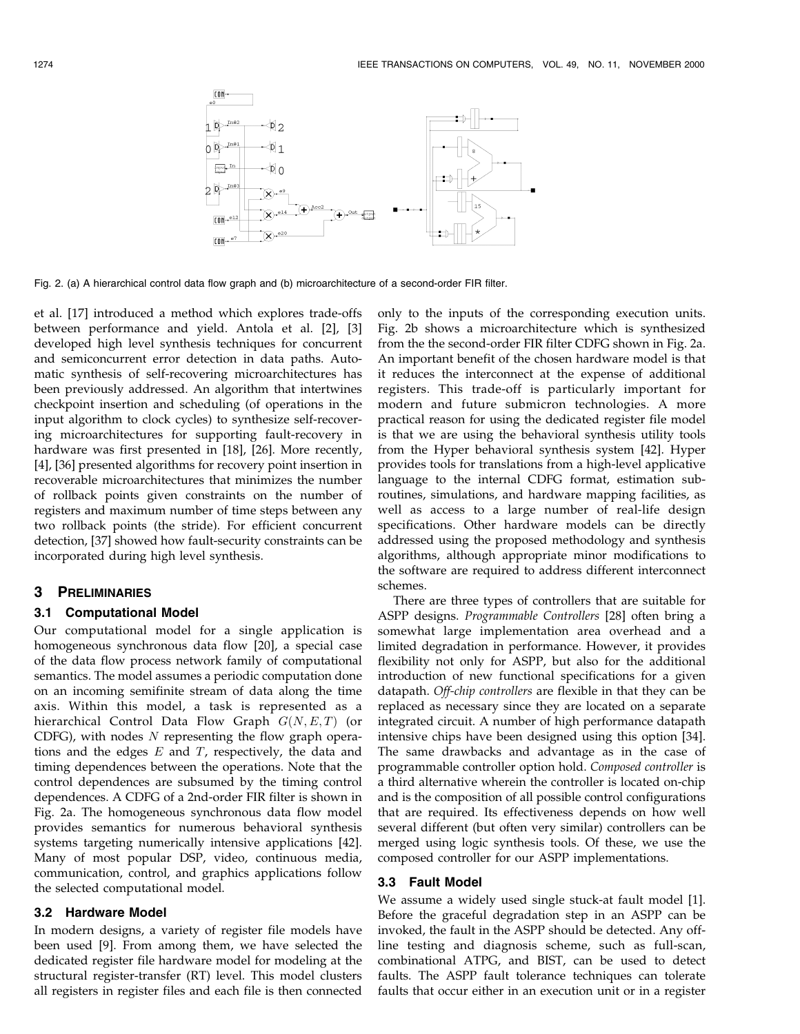

Fig. 2. (a) A hierarchical control data flow graph and (b) microarchitecture of a second-order FIR filter.

et al. [17] introduced a method which explores trade-offs between performance and yield. Antola et al. [2], [3] developed high level synthesis techniques for concurrent and semiconcurrent error detection in data paths. Automatic synthesis of self-recovering microarchitectures has been previously addressed. An algorithm that intertwines checkpoint insertion and scheduling (of operations in the input algorithm to clock cycles) to synthesize self-recovering microarchitectures for supporting fault-recovery in hardware was first presented in [18], [26]. More recently, [4], [36] presented algorithms for recovery point insertion in recoverable microarchitectures that minimizes the number of rollback points given constraints on the number of registers and maximum number of time steps between any two rollback points (the stride). For efficient concurrent detection, [37] showed how fault-security constraints can be incorporated during high level synthesis.

### 3 PRELIMINARIES

#### 3.1 Computational Model

Our computational model for a single application is homogeneous synchronous data flow [20], a special case of the data flow process network family of computational semantics. The model assumes a periodic computation done on an incoming semifinite stream of data along the time axis. Within this model, a task is represented as a hierarchical Control Data Flow Graph  $G(N, E, T)$  (or CDFG), with nodes  $N$  representing the flow graph operations and the edges  $E$  and  $T$ , respectively, the data and timing dependences between the operations. Note that the control dependences are subsumed by the timing control dependences. A CDFG of a 2nd-order FIR filter is shown in Fig. 2a. The homogeneous synchronous data flow model provides semantics for numerous behavioral synthesis systems targeting numerically intensive applications [42]. Many of most popular DSP, video, continuous media, communication, control, and graphics applications follow the selected computational model.

# 3.2 Hardware Model

In modern designs, a variety of register file models have been used [9]. From among them, we have selected the dedicated register file hardware model for modeling at the structural register-transfer (RT) level. This model clusters all registers in register files and each file is then connected only to the inputs of the corresponding execution units. Fig. 2b shows a microarchitecture which is synthesized from the the second-order FIR filter CDFG shown in Fig. 2a. An important benefit of the chosen hardware model is that it reduces the interconnect at the expense of additional registers. This trade-off is particularly important for modern and future submicron technologies. A more practical reason for using the dedicated register file model is that we are using the behavioral synthesis utility tools from the Hyper behavioral synthesis system [42]. Hyper provides tools for translations from a high-level applicative language to the internal CDFG format, estimation subroutines, simulations, and hardware mapping facilities, as well as access to a large number of real-life design specifications. Other hardware models can be directly addressed using the proposed methodology and synthesis algorithms, although appropriate minor modifications to the software are required to address different interconnect schemes.

There are three types of controllers that are suitable for ASPP designs. Programmable Controllers [28] often bring a somewhat large implementation area overhead and a limited degradation in performance. However, it provides flexibility not only for ASPP, but also for the additional introduction of new functional specifications for a given datapath. Off-chip controllers are flexible in that they can be replaced as necessary since they are located on a separate integrated circuit. A number of high performance datapath intensive chips have been designed using this option [34]. The same drawbacks and advantage as in the case of programmable controller option hold. Composed controller is a third alternative wherein the controller is located on-chip and is the composition of all possible control configurations that are required. Its effectiveness depends on how well several different (but often very similar) controllers can be merged using logic synthesis tools. Of these, we use the composed controller for our ASPP implementations.

# 3.3 Fault Model

We assume a widely used single stuck-at fault model [1]. Before the graceful degradation step in an ASPP can be invoked, the fault in the ASPP should be detected. Any offline testing and diagnosis scheme, such as full-scan, combinational ATPG, and BIST, can be used to detect faults. The ASPP fault tolerance techniques can tolerate faults that occur either in an execution unit or in a register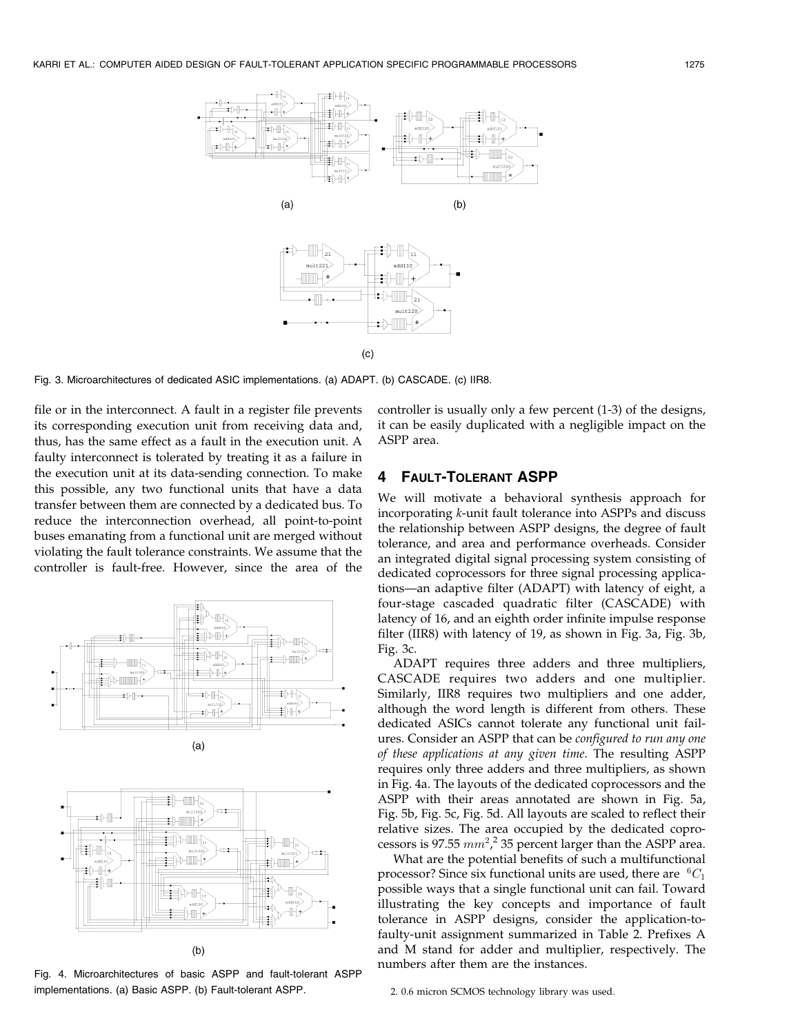

Fig. 3. Microarchitectures of dedicated ASIC implementations. (a) ADAPT. (b) CASCADE. (c) IIR8.

file or in the interconnect. A fault in a register file prevents its corresponding execution unit from receiving data and, thus, has the same effect as a fault in the execution unit. A faulty interconnect is tolerated by treating it as a failure in the execution unit at its data-sending connection. To make this possible, any two functional units that have a data transfer between them are connected by a dedicated bus. To reduce the interconnection overhead, all point-to-point buses emanating from a functional unit are merged without violating the fault tolerance constraints. We assume that the controller is fault-free. However, since the area of the







 $(b)$ 

Fig. 4. Microarchitectures of basic ASPP and fault-tolerant ASPP implementations. (a) Basic ASPP. (b) Fault-tolerant ASPP.

controller is usually only a few percent (1-3) of the designs, it can be easily duplicated with a negligible impact on the ASPP area.

# 4 FAULT-TOLERANT ASPP

We will motivate a behavioral synthesis approach for incorporating k-unit fault tolerance into ASPPs and discuss the relationship between ASPP designs, the degree of fault tolerance, and area and performance overheads. Consider an integrated digital signal processing system consisting of dedicated coprocessors for three signal processing applications—an adaptive filter (ADAPT) with latency of eight, a four-stage cascaded quadratic filter (CASCADE) with latency of 16, and an eighth order infinite impulse response filter (IIR8) with latency of 19, as shown in Fig. 3a, Fig. 3b, Fig. 3c.

ADAPT requires three adders and three multipliers, CASCADE requires two adders and one multiplier. Similarly, IIR8 requires two multipliers and one adder, although the word length is different from others. These dedicated ASICs cannot tolerate any functional unit failures. Consider an ASPP that can be configured to run any one of these applications at any given time. The resulting ASPP requires only three adders and three multipliers, as shown in Fig. 4a. The layouts of the dedicated coprocessors and the ASPP with their areas annotated are shown in Fig. 5a, Fig. 5b, Fig. 5c, Fig. 5d. All layouts are scaled to reflect their relative sizes. The area occupied by the dedicated coprocessors is 97.55  $mm^2$ ,  $^2$  35 percent larger than the ASPP area.

What are the potential benefits of such a multifunctional processor? Since six functional units are used, there are  ${}^{6}C_1$ possible ways that a single functional unit can fail. Toward illustrating the key concepts and importance of fault tolerance in ASPP designs, consider the application-tofaulty-unit assignment summarized in Table 2. Prefixes A and M stand for adder and multiplier, respectively. The numbers after them are the instances.

2. 0.6 micron SCMOS technology library was used.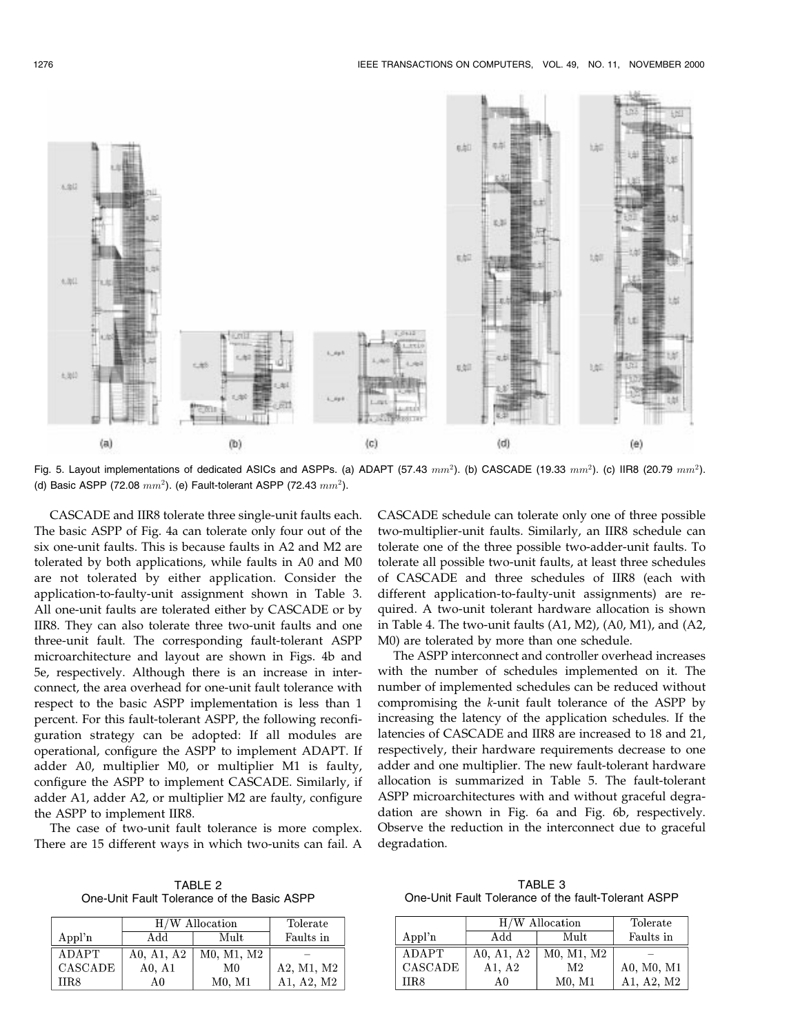

Fig. 5. Layout implementations of dedicated ASICs and ASPPs. (a) ADAPT (57.43  $mm^2$ ). (b) CASCADE (19.33  $mm^2$ ). (c) IIR8 (20.79  $mm^2$ ). (d) Basic ASPP (72.08  $mm^2$ ). (e) Fault-tolerant ASPP (72.43  $mm^2$ ).

CASCADE and IIR8 tolerate three single-unit faults each. The basic ASPP of Fig. 4a can tolerate only four out of the six one-unit faults. This is because faults in A2 and M2 are tolerated by both applications, while faults in A0 and M0 are not tolerated by either application. Consider the application-to-faulty-unit assignment shown in Table 3. All one-unit faults are tolerated either by CASCADE or by IIR8. They can also tolerate three two-unit faults and one three-unit fault. The corresponding fault-tolerant ASPP microarchitecture and layout are shown in Figs. 4b and 5e, respectively. Although there is an increase in interconnect, the area overhead for one-unit fault tolerance with respect to the basic ASPP implementation is less than 1 percent. For this fault-tolerant ASPP, the following reconfiguration strategy can be adopted: If all modules are operational, configure the ASPP to implement ADAPT. If adder A0, multiplier M0, or multiplier M1 is faulty, configure the ASPP to implement CASCADE. Similarly, if adder A1, adder A2, or multiplier M2 are faulty, configure the ASPP to implement IIR8.

The case of two-unit fault tolerance is more complex. There are 15 different ways in which two-units can fail. A

TABLE 2 One-Unit Fault Tolerance of the Basic ASPP

|                  | H/W Allocation | Tolerate   |            |
|------------------|----------------|------------|------------|
| Appl'n           | $_{\rm Add}$   | Mult       | Faults in  |
| ADAPT            | A0, A1, A2     | M0, M1, M2 |            |
| CASCADE          | A0, $A1$       | M0         | A2, M1, M2 |
| IIR <sub>8</sub> | A0             | M0, M1     | A1, A2, M2 |

CASCADE schedule can tolerate only one of three possible two-multiplier-unit faults. Similarly, an IIR8 schedule can tolerate one of the three possible two-adder-unit faults. To tolerate all possible two-unit faults, at least three schedules of CASCADE and three schedules of IIR8 (each with different application-to-faulty-unit assignments) are required. A two-unit tolerant hardware allocation is shown in Table 4. The two-unit faults (A1, M2), (A0, M1), and (A2, M0) are tolerated by more than one schedule.

The ASPP interconnect and controller overhead increases with the number of schedules implemented on it. The number of implemented schedules can be reduced without compromising the k-unit fault tolerance of the ASPP by increasing the latency of the application schedules. If the latencies of CASCADE and IIR8 are increased to 18 and 21, respectively, their hardware requirements decrease to one adder and one multiplier. The new fault-tolerant hardware allocation is summarized in Table 5. The fault-tolerant ASPP microarchitectures with and without graceful degradation are shown in Fig. 6a and Fig. 6b, respectively. Observe the reduction in the interconnect due to graceful degradation.

TABLE 3 One-Unit Fault Tolerance of the fault-Tolerant ASPP

|         | H/W Allocation | Tolerate       |            |
|---------|----------------|----------------|------------|
| Appl'n  | Add            | Mult           | Faults in  |
| ADAPT   | A0, A1, A2     | M0, M1, M2     |            |
| CASCADE | A1. A2         | M <sub>2</sub> | A0, M0, M1 |
| IIR8    | A0             | M0, M1         | A1, A2, M2 |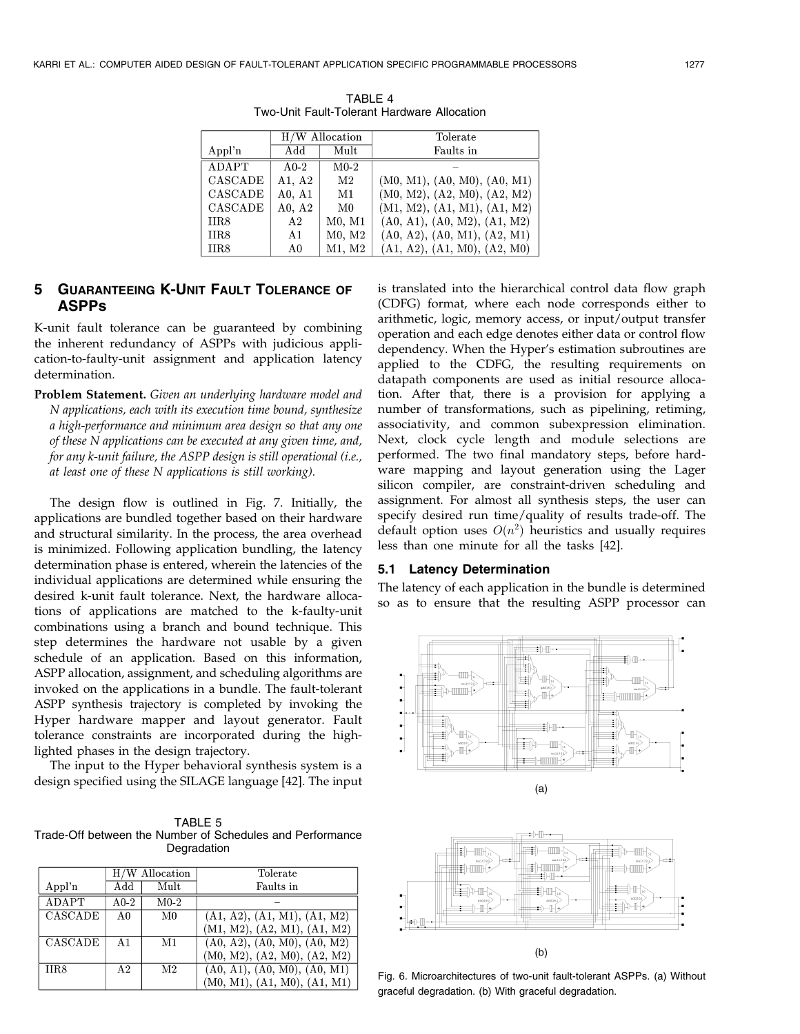|                |              | $H/W$ Allocation | Tolerate                     |
|----------------|--------------|------------------|------------------------------|
| Appl'n         | $_{\rm Add}$ | Mult             | Faults in                    |
| <b>ADAPT</b>   | A0-2         | $M0-2$           |                              |
| CASCADE        | A1. A2       | M <sub>2</sub>   | (M0, M1), (A0, M0), (A0, M1) |
| CASCADE        | A0, A1       | M1               | (M0, M2), (A2, M0), (A2, M2) |
| <b>CASCADE</b> | A0, A2       | $_{\rm M0}$      | (M1, M2), (A1, M1), (A1, M2) |
| IIR8           | A2           | M0, M1           | (A0, A1), (A0, M2), (A1, M2) |
| IIR8           | A1           | M0, M2           | (A0, A2), (A0, M1), (A2, M1) |
| IIR8           | A0           | M1, M2           | (A1, A2), (A1, M0), (A2, M0) |

TABLE 4 Two-Unit Fault-Tolerant Hardware Allocation

# 5 GUARANTEEING K-UNIT FAULT TOLERANCE OF ASPPs

K-unit fault tolerance can be guaranteed by combining the inherent redundancy of ASPPs with judicious application-to-faulty-unit assignment and application latency determination.

Problem Statement. Given an underlying hardware model and N applications, each with its execution time bound, synthesize a high-performance and minimum area design so that any one of these N applications can be executed at any given time, and, for any k-unit failure, the ASPP design is still operational (i.e., at least one of these N applications is still working).

The design flow is outlined in Fig. 7. Initially, the applications are bundled together based on their hardware and structural similarity. In the process, the area overhead is minimized. Following application bundling, the latency determination phase is entered, wherein the latencies of the individual applications are determined while ensuring the desired k-unit fault tolerance. Next, the hardware allocations of applications are matched to the k-faulty-unit combinations using a branch and bound technique. This step determines the hardware not usable by a given schedule of an application. Based on this information, ASPP allocation, assignment, and scheduling algorithms are invoked on the applications in a bundle. The fault-tolerant ASPP synthesis trajectory is completed by invoking the Hyper hardware mapper and layout generator. Fault tolerance constraints are incorporated during the highlighted phases in the design trajectory.

The input to the Hyper behavioral synthesis system is a design specified using the SILAGE language [42]. The input

TABLE 5 Trade-Off between the Number of Schedules and Performance Degradation

|                |                | H/W Allocation | Tolerate                     |
|----------------|----------------|----------------|------------------------------|
| Appl'n         | $_{\rm Add}$   | Mult           | Faults in                    |
| <b>ADAPT</b>   | $A0-2$         | $M0-2$         |                              |
| <b>CASCADE</b> | A <sub>0</sub> | M0             | (A1, A2), (A1, M1), (A1, M2) |
|                |                |                | (M1, M2), (A2, M1), (A1, M2) |
| <b>CASCADE</b> | A1             | M1             | (A0, A2), (A0, M0), (A0, M2) |
|                |                |                | (M0, M2), (A2, M0), (A2, M2) |
| IIR8           | A 2.           | M <sub>2</sub> | (A0, A1), (A0, M0), (A0, M1) |
|                |                |                | (M0, M1), (A1, M0), (A1, M1) |

is translated into the hierarchical control data flow graph (CDFG) format, where each node corresponds either to arithmetic, logic, memory access, or input/output transfer operation and each edge denotes either data or control flow dependency. When the Hyper's estimation subroutines are applied to the CDFG, the resulting requirements on datapath components are used as initial resource allocation. After that, there is a provision for applying a number of transformations, such as pipelining, retiming, associativity, and common subexpression elimination. Next, clock cycle length and module selections are performed. The two final mandatory steps, before hardware mapping and layout generation using the Lager silicon compiler, are constraint-driven scheduling and assignment. For almost all synthesis steps, the user can specify desired run time/quality of results trade-off. The default option uses  $O(n^2)$  heuristics and usually requires less than one minute for all the tasks [42].

#### 5.1 Latency Determination

The latency of each application in the bundle is determined so as to ensure that the resulting ASPP processor can





 $(b)$ 

Fig. 6. Microarchitectures of two-unit fault-tolerant ASPPs. (a) Without graceful degradation. (b) With graceful degradation.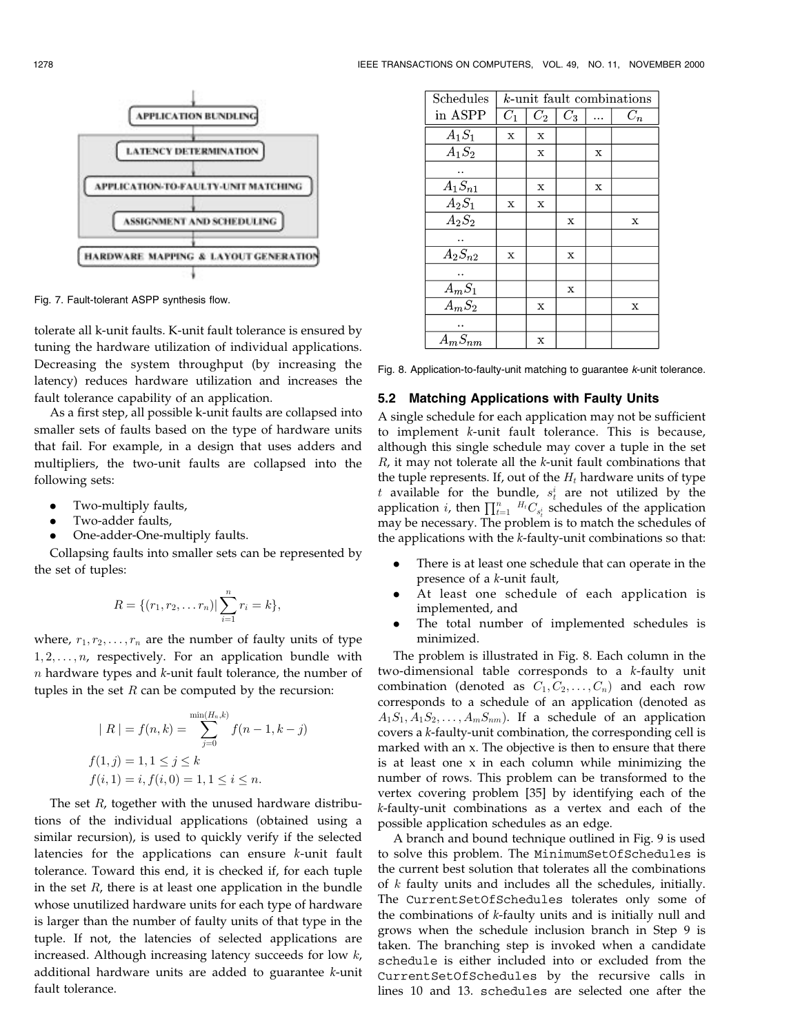

Fig. 7. Fault-tolerant ASPP synthesis flow.

tolerate all k-unit faults. K-unit fault tolerance is ensured by tuning the hardware utilization of individual applications. Decreasing the system throughput (by increasing the latency) reduces hardware utilization and increases the fault tolerance capability of an application.

As a first step, all possible k-unit faults are collapsed into smaller sets of faults based on the type of hardware units that fail. For example, in a design that uses adders and multipliers, the two-unit faults are collapsed into the following sets:

- . Two-multiply faults,
- . Two-adder faults,
- . One-adder-One-multiply faults.

Collapsing faults into smaller sets can be represented by the set of tuples:

$$
R = \{(r_1, r_2, \dots r_n) | \sum_{i=1}^n r_i = k\},\
$$

where,  $r_1, r_2, \ldots, r_n$  are the number of faulty units of type  $1, 2, \ldots, n$ , respectively. For an application bundle with  $n$  hardware types and  $k$ -unit fault tolerance, the number of tuples in the set  $R$  can be computed by the recursion:

$$
| R | = f(n, k) = \sum_{j=0}^{\min(H_n, k)} f(n - 1, k - j)
$$
  

$$
f(1, j) = 1, 1 \le j \le k
$$
  

$$
f(i, 1) = i, f(i, 0) = 1, 1 \le i \le n.
$$

The set  $R$ , together with the unused hardware distributions of the individual applications (obtained using a similar recursion), is used to quickly verify if the selected latencies for the applications can ensure k-unit fault tolerance. Toward this end, it is checked if, for each tuple in the set  $R$ , there is at least one application in the bundle whose unutilized hardware units for each type of hardware is larger than the number of faulty units of that type in the tuple. If not, the latencies of selected applications are increased. Although increasing latency succeeds for low  $k$ , additional hardware units are added to guarantee  $k$ -unit fault tolerance.

| Schedules           | $k$ -unit fault combinations |                    |                    |             |             |  |  |  |
|---------------------|------------------------------|--------------------|--------------------|-------------|-------------|--|--|--|
| in ASPP             | $C_1$                        | $\scriptstyle C_2$ | $C_3$              |             | $C_n$       |  |  |  |
| $A_1S_1$            | $\mathbf x$                  | $\mathbf x$        |                    |             |             |  |  |  |
| $\overline{A}_1S_2$ |                              | $\mathbf x$        |                    | $\mathbf x$ |             |  |  |  |
|                     |                              |                    |                    |             |             |  |  |  |
| $A_1S_{n1}$         |                              | х                  |                    | X           |             |  |  |  |
| $A_2S_1$            | $\mathbf x$                  | $\mathbf x$        |                    |             |             |  |  |  |
| $A_2S_2$            |                              |                    | $\bar{\mathbf{x}}$ |             | $\mathbf x$ |  |  |  |
|                     |                              |                    |                    |             |             |  |  |  |
| $A_2S_{n2}$         | X                            |                    | $\mathbf x$        |             |             |  |  |  |
|                     |                              |                    |                    |             |             |  |  |  |
| $A_mS_1$            |                              |                    | $\mathbf x$        |             |             |  |  |  |
| $\overline{A_m}S_2$ |                              | X                  |                    |             | X           |  |  |  |
|                     |                              |                    |                    |             |             |  |  |  |
| $A_m S_{nm}$        |                              | X                  |                    |             |             |  |  |  |

Fig. 8. Application-to-faulty-unit matching to guarantee k-unit tolerance.

#### **Matching Applications with Faulty Units**

A single schedule for each application may not be sufficient to implement k-unit fault tolerance. This is because, although this single schedule may cover a tuple in the set  $R$ , it may not tolerate all the  $k$ -unit fault combinations that the tuple represents. If, out of the  $H_t$  hardware units of type t available for the bundle,  $s_t^i$  are not utilized by the application *i*, then  $\prod_{t=1}^{n} H_t C_{s_t^i}$  schedules of the application may be necessary. The problem is to match the schedules of the applications with the  $k$ -faulty-unit combinations so that:

- . There is at least one schedule that can operate in the presence of a k-unit fault,
- . At least one schedule of each application is implemented, and
- . The total number of implemented schedules is minimized.

The problem is illustrated in Fig. 8. Each column in the two-dimensional table corresponds to a k-faulty unit combination (denoted as  $C_1, C_2, \ldots, C_n$ ) and each row corresponds to a schedule of an application (denoted as  $A_1S_1, A_1S_2, \ldots, A_mS_{nm}$ ). If a schedule of an application covers a k-faulty-unit combination, the corresponding cell is marked with an x. The objective is then to ensure that there is at least one x in each column while minimizing the number of rows. This problem can be transformed to the vertex covering problem [35] by identifying each of the k-faulty-unit combinations as a vertex and each of the possible application schedules as an edge.

A branch and bound technique outlined in Fig. 9 is used to solve this problem. The MinimumSetOfSchedules is the current best solution that tolerates all the combinations of  $k$  faulty units and includes all the schedules, initially. The CurrentSetOfSchedules tolerates only some of the combinations of k-faulty units and is initially null and grows when the schedule inclusion branch in Step 9 is taken. The branching step is invoked when a candidate schedule is either included into or excluded from the CurrentSetOfSchedules by the recursive calls in lines 10 and 13. schedules are selected one after the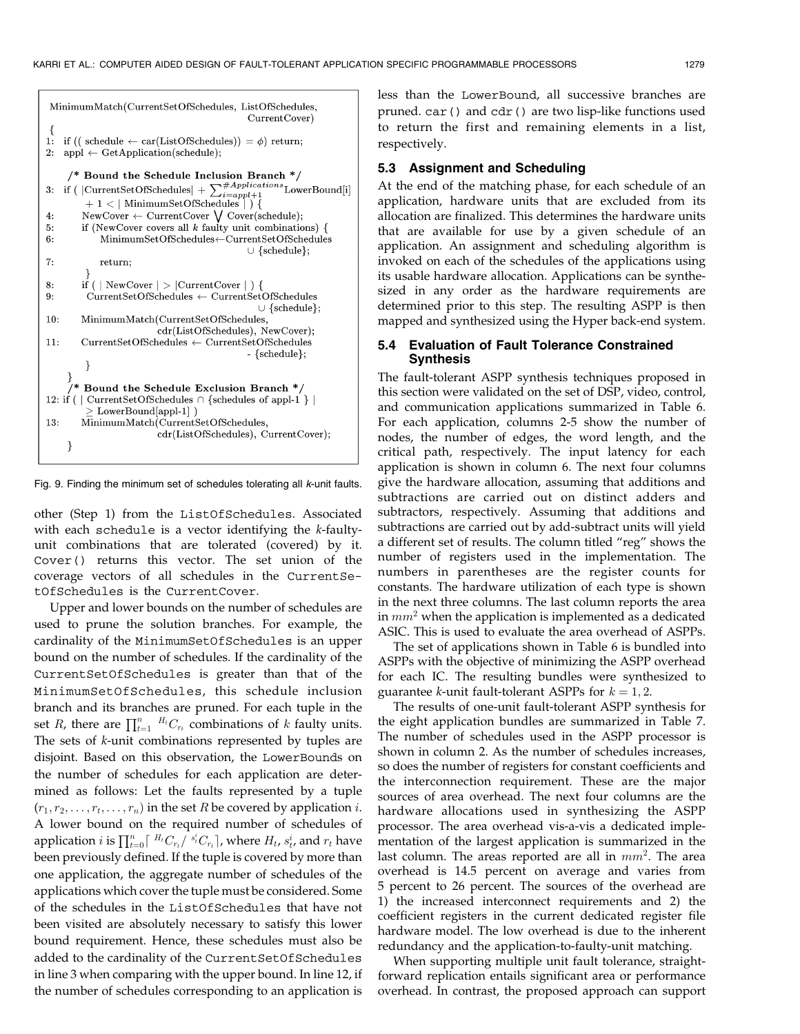| MinimumMatch(CurrentSetOfSchedules, ListOfSchedules,<br>CurrentCover)                                                                                                            |
|----------------------------------------------------------------------------------------------------------------------------------------------------------------------------------|
| $\begin{smallmatrix} \{ \\ 1 \end{smallmatrix}$<br>if (( schedule $\leftarrow$ car(ListOfSchedules)) = $\phi$ ) return;<br>2:<br>$appl \leftarrow GetApplication(scheduledule);$ |
| $/*$ Bound the Schedule Inclusion Branch $*/$                                                                                                                                    |
| if (  CurrentSetOfSchedules   + $\sum_{i=appl+1}^{\#Applications}$ LowerBound[i]<br>3:                                                                                           |
| $+1$ <   MinimumSetOfSchedules   )                                                                                                                                               |
| NewCover $\leftarrow$ CurrentCover $\bigvee$ Cover(schedule);<br>4:                                                                                                              |
| if (NewCover covers all k faulty unit combinations) {<br>5:                                                                                                                      |
| $MinimumSetOfSchedules \leftarrow CurrentSetOfSchedules$<br>6:<br>$\cup$ {schedule}:                                                                                             |
| return:<br>7:                                                                                                                                                                    |
| €                                                                                                                                                                                |
| if (   NewCover $  >  $ CurrentCover $ $ ) {<br>8:                                                                                                                               |
| $CurrentSetOfSchedules \leftarrow CurrentSetOfSchedules$<br>9:<br>$\cup$ {schedule};                                                                                             |
| MinimumMatch(CurrentSetOfSchedules,<br>10:                                                                                                                                       |
| cdr(ListOfSchedules), NewCover);                                                                                                                                                 |
| $CurrentSetOfSchedules \leftarrow CurrentSetOfSchedules$<br>11:                                                                                                                  |
| $-$ {schedule};                                                                                                                                                                  |
| λ                                                                                                                                                                                |
|                                                                                                                                                                                  |
| $\frac{1}{4}$ Bound the Schedule Exclusion Branch $\frac{*}{4}$                                                                                                                  |
| 12: if (   CurrentSetOfSchedules $\cap$ {schedules of appl-1 }                                                                                                                   |
| $>$ LowerBound[appl-1])<br>MinimumMatch(CurrentSetOfSchedules,<br>13:                                                                                                            |
| cdr(ListOfSchedules), CurrentCover);                                                                                                                                             |
| }                                                                                                                                                                                |
|                                                                                                                                                                                  |

Fig. 9. Finding the minimum set of schedules tolerating all k-unit faults.

other (Step 1) from the ListOfSchedules. Associated with each schedule is a vector identifying the k-faultyunit combinations that are tolerated (covered) by it. Cover() returns this vector. The set union of the coverage vectors of all schedules in the CurrentSetOfSchedules is the CurrentCover.

Upper and lower bounds on the number of schedules are used to prune the solution branches. For example, the cardinality of the MinimumSetOfSchedules is an upper bound on the number of schedules. If the cardinality of the CurrentSetOfSchedules is greater than that of the MinimumSetOfSchedules, this schedule inclusion branch and its branches are pruned. For each tuple in the set R, there are  $\prod_{t=1}^{n} H_t C_{r_t}$  combinations of k faulty units. The sets of k-unit combinations represented by tuples are disjoint. Based on this observation, the LowerBounds on the number of schedules for each application are determined as follows: Let the faults represented by a tuple  $(r_1, r_2, \ldots, r_t, \ldots, r_n)$  in the set R be covered by application *i*. A lower bound on the required number of schedules of application  $i$  is  $\prod_{t=0}^n \lceil \frac{H_tC_{r_t}/s_t^iC_{r_t}\rceil}$ , where  $H_t$ ,  $s_t^i$ , and  $r_t$  have been previously defined. If the tuple is covered by more than one application, the aggregate number of schedules of the applications which cover the tuple must be considered. Some of the schedules in the ListOfSchedules that have not been visited are absolutely necessary to satisfy this lower bound requirement. Hence, these schedules must also be added to the cardinality of the CurrentSetOfSchedules in line 3 when comparing with the upper bound. In line 12, if the number of schedules corresponding to an application is

less than the LowerBound, all successive branches are pruned. car() and cdr() are two lisp-like functions used to return the first and remaining elements in a list, respectively.

#### 5.3 Assignment and Scheduling

At the end of the matching phase, for each schedule of an application, hardware units that are excluded from its allocation are finalized. This determines the hardware units that are available for use by a given schedule of an application. An assignment and scheduling algorithm is invoked on each of the schedules of the applications using its usable hardware allocation. Applications can be synthesized in any order as the hardware requirements are determined prior to this step. The resulting ASPP is then mapped and synthesized using the Hyper back-end system.

# 5.4 Evaluation of Fault Tolerance Constrained Synthesis

The fault-tolerant ASPP synthesis techniques proposed in this section were validated on the set of DSP, video, control, and communication applications summarized in Table 6. For each application, columns 2-5 show the number of nodes, the number of edges, the word length, and the critical path, respectively. The input latency for each application is shown in column 6. The next four columns give the hardware allocation, assuming that additions and subtractions are carried out on distinct adders and subtractors, respectively. Assuming that additions and subtractions are carried out by add-subtract units will yield a different set of results. The column titled "reg" shows the number of registers used in the implementation. The numbers in parentheses are the register counts for constants. The hardware utilization of each type is shown in the next three columns. The last column reports the area in  $mm^2$  when the application is implemented as a dedicated ASIC. This is used to evaluate the area overhead of ASPPs.

The set of applications shown in Table 6 is bundled into ASPPs with the objective of minimizing the ASPP overhead for each IC. The resulting bundles were synthesized to guarantee k-unit fault-tolerant ASPPs for  $k = 1, 2$ .

The results of one-unit fault-tolerant ASPP synthesis for the eight application bundles are summarized in Table 7. The number of schedules used in the ASPP processor is shown in column 2. As the number of schedules increases, so does the number of registers for constant coefficients and the interconnection requirement. These are the major sources of area overhead. The next four columns are the hardware allocations used in synthesizing the ASPP processor. The area overhead vis-a-vis a dedicated implementation of the largest application is summarized in the last column. The areas reported are all in  $mm^2$ . The area overhead is 14.5 percent on average and varies from 5 percent to 26 percent. The sources of the overhead are 1) the increased interconnect requirements and 2) the coefficient registers in the current dedicated register file hardware model. The low overhead is due to the inherent redundancy and the application-to-faulty-unit matching.

When supporting multiple unit fault tolerance, straightforward replication entails significant area or performance overhead. In contrast, the proposed approach can support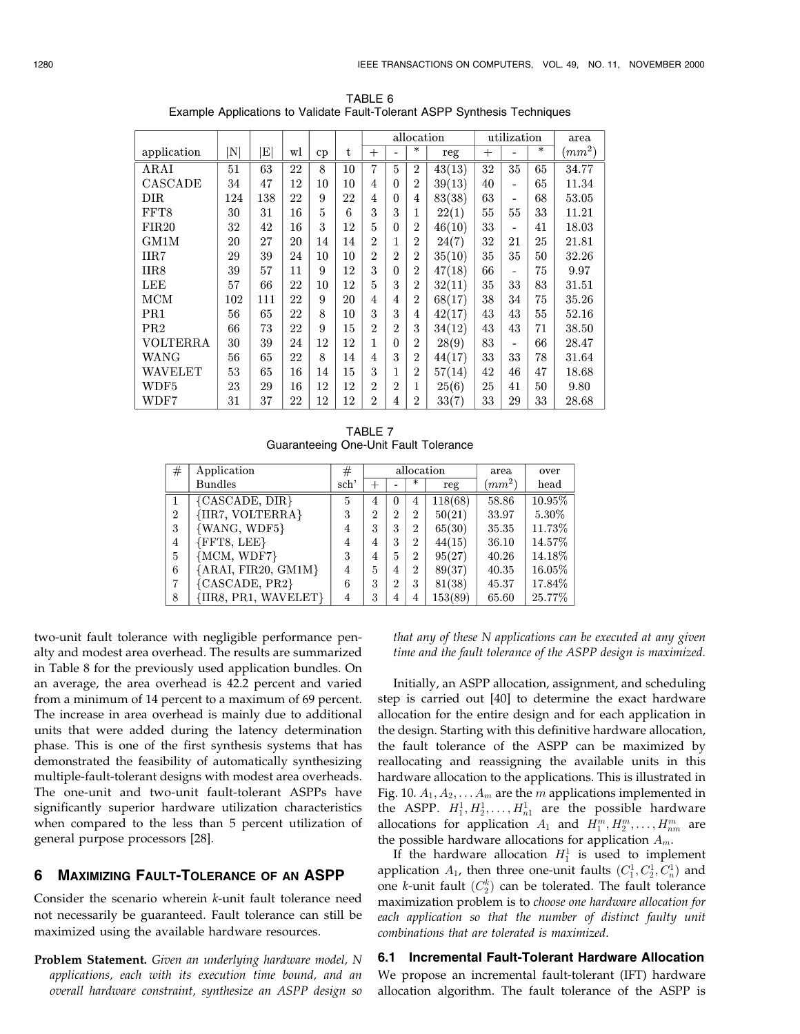|                 |         |              |    |    |    | allocation     |                          |                | utilization |        |                          | area   |               |
|-----------------|---------|--------------|----|----|----|----------------|--------------------------|----------------|-------------|--------|--------------------------|--------|---------------|
| application     | Ν       | $\mathbf{E}$ | wl | cp | t. | $^{+}$         | $\overline{\phantom{a}}$ | *              | reg         | $^{+}$ |                          | $\ast$ | $\pi (m n^2)$ |
| ARAI            | 51      | 63           | 22 | 8  | 10 | $\overline{7}$ | 5                        | $\overline{2}$ | 43(13)      | 32     | 35                       | 65     | 34.77         |
| CASCADE         | 34      | 47           | 12 | 10 | 10 | 4              | $\theta$                 | $\overline{2}$ | 39(13)      | 40     | $\overline{\phantom{0}}$ | 65     | 11.34         |
| DIR.            | 124     | 138          | 22 | 9  | 22 | 4              | $\theta$                 | 4              | 83(38)      | 63     | -                        | 68     | 53.05         |
| FFT8            | 30      | 31           | 16 | 5  | 6  | 3              | 3                        | 1              | 22(1)       | 55     | 55                       | 33     | 11.21         |
| FIR20           | 32      | 42           | 16 | 3  | 12 | 5              | $\theta$                 | $\overline{2}$ | 46(10)      | 33     | -                        | 41     | 18.03         |
| GM1M            | 20      | 27           | 20 | 14 | 14 | $\overline{2}$ | 1                        | $\overline{2}$ | 24(7)       | 32     | 21                       | 25     | 21.81         |
| IIR7            | 29      | 39           | 24 | 10 | 10 | $\overline{2}$ | 2                        | $\overline{2}$ | 35(10)      | 35     | 35                       | 50     | 32.26         |
| IIR8            | 39      | 57           | 11 | 9  | 12 | 3              | 0                        | $\overline{2}$ | 47(18)      | 66     | ۰                        | 75     | 9.97          |
| LEE             | 57      | 66           | 22 | 10 | 12 | 5              | 3                        | $\overline{2}$ | 32(11)      | 35     | 33                       | 83     | 31.51         |
| MCM             | $102\,$ | 111          | 22 | 9  | 20 | 4              | 4                        | $\overline{2}$ | 68(17)      | 38     | 34                       | 75     | 35.26         |
| PR <sub>1</sub> | 56      | 65           | 22 | 8  | 10 | 3              | 3                        | 4              | 42(17)      | 43     | 43                       | 55     | 52.16         |
| PR2             | 66      | 73           | 22 | 9  | 15 | $\overline{2}$ | 2                        | 3              | 34(12)      | 43     | 43                       | 71     | 38.50         |
| VOLTERRA        | 30      | 39           | 24 | 12 | 12 | 1              | 0                        | $\overline{2}$ | 28(9)       | 83     | $\overline{\phantom{0}}$ | 66     | 28.47         |
| WANG            | 56      | 65           | 22 | 8  | 14 | 4              | 3                        | $\overline{2}$ | 44(17)      | 33     | 33                       | 78     | 31.64         |
| WAVELET         | 53      | 65           | 16 | 14 | 15 | 3              | 1                        | $\overline{2}$ | 57(14)      | 42     | 46                       | 47     | 18.68         |
| WDF5            | 23      | 29           | 16 | 12 | 12 | $\overline{2}$ | $\overline{2}$           | 1              | 25(6)       | 25     | 41                       | 50     | 9.80          |
| WDF7            | 31      | 37           | 22 | 12 | 12 | $\overline{2}$ | 4                        | 2              | 33(7)       | 33     | 29                       | 33     | 28.68         |

TABLE 6 Example Applications to Validate Fault-Tolerant ASPP Synthesis Techniques

TABLE 7 Guaranteeing One-Unit Fault Tolerance

| #              | Application           | #    | allocation |                |                |         | area                   | over      |
|----------------|-----------------------|------|------------|----------------|----------------|---------|------------------------|-----------|
|                | <b>Bundles</b>        | sch' | ┿          |                | $\ast$         | reg     | $\left( mm^{2}\right)$ | head      |
|                | ${CASCADE, DIR}$      | 5    | 4          | 0              | 4              | 118(68) | 58.86                  | $10.95\%$ |
| $\overline{2}$ | {IIR7, VOLTERRA}      | 3    | 2          | 2              | 2              | 50(21)  | 33.97                  | 5.30%     |
| 3              | {WANG, WDF5}          | 4    | 3          | 3              | $\overline{2}$ | 65(30)  | 35.35                  | 11.73%    |
| 4              | ${FFT8, LEE}$         | 4    | 4          | 3              | $\overline{2}$ | 44(15)  | 36.10                  | 14.57%    |
| 5              | ${MCM, WDF7}$         | 3    | 4          | 5              | $\overline{2}$ | 95(27)  | 40.26                  | 14.18%    |
| 6              | ${ARAI, FIR20, GM1M}$ | 4    | 5          | 4              | 2              | 89(37)  | 40.35                  | $16.05\%$ |
|                | {CASCADE, PR2}        | 6    | 3          | $\overline{2}$ | 3              | 81(38)  | 45.37                  | 17.84%    |
| 8              | {IIR8, PR1, WAVELET}  | 4    | 3          | 4              | 4              | 153(89) | 65.60                  | 25.77%    |

two-unit fault tolerance with negligible performance penalty and modest area overhead. The results are summarized in Table 8 for the previously used application bundles. On an average, the area overhead is 42.2 percent and varied from a minimum of 14 percent to a maximum of 69 percent. The increase in area overhead is mainly due to additional units that were added during the latency determination phase. This is one of the first synthesis systems that has demonstrated the feasibility of automatically synthesizing multiple-fault-tolerant designs with modest area overheads. The one-unit and two-unit fault-tolerant ASPPs have significantly superior hardware utilization characteristics when compared to the less than 5 percent utilization of general purpose processors [28].

# 6 MAXIMIZING FAULT-TOLERANCE OF AN ASPP

Consider the scenario wherein k-unit fault tolerance need not necessarily be guaranteed. Fault tolerance can still be maximized using the available hardware resources.

Problem Statement. Given an underlying hardware model, N applications, each with its execution time bound, and an overall hardware constraint, synthesize an ASPP design so that any of these N applications can be executed at any given time and the fault tolerance of the ASPP design is maximized.

Initially, an ASPP allocation, assignment, and scheduling step is carried out [40] to determine the exact hardware allocation for the entire design and for each application in the design. Starting with this definitive hardware allocation, the fault tolerance of the ASPP can be maximized by reallocating and reassigning the available units in this hardware allocation to the applications. This is illustrated in Fig. 10.  $A_1, A_2, \ldots, A_m$  are the m applications implemented in the ASPP.  $H_1^1, H_2^1, \ldots, H_{n1}^1$  are the possible hardware allocations for application  $A_1$  and  $H_1^m, H_2^m, \ldots, H_{nm}^m$  are the possible hardware allocations for application  $A_m$ .

If the hardware allocation  $H_1^1$  is used to implement application  $A_1$ , then three one-unit faults  $(C_1^1, C_2^1, C_n^1)$  and one *k*-unit fault  $(C_2^k)$  can be tolerated. The fault tolerance maximization problem is to choose one hardware allocation for each application so that the number of distinct faulty unit combinations that are tolerated is maximized.

#### 6.1 Incremental Fault-Tolerant Hardware Allocation

We propose an incremental fault-tolerant (IFT) hardware allocation algorithm. The fault tolerance of the ASPP is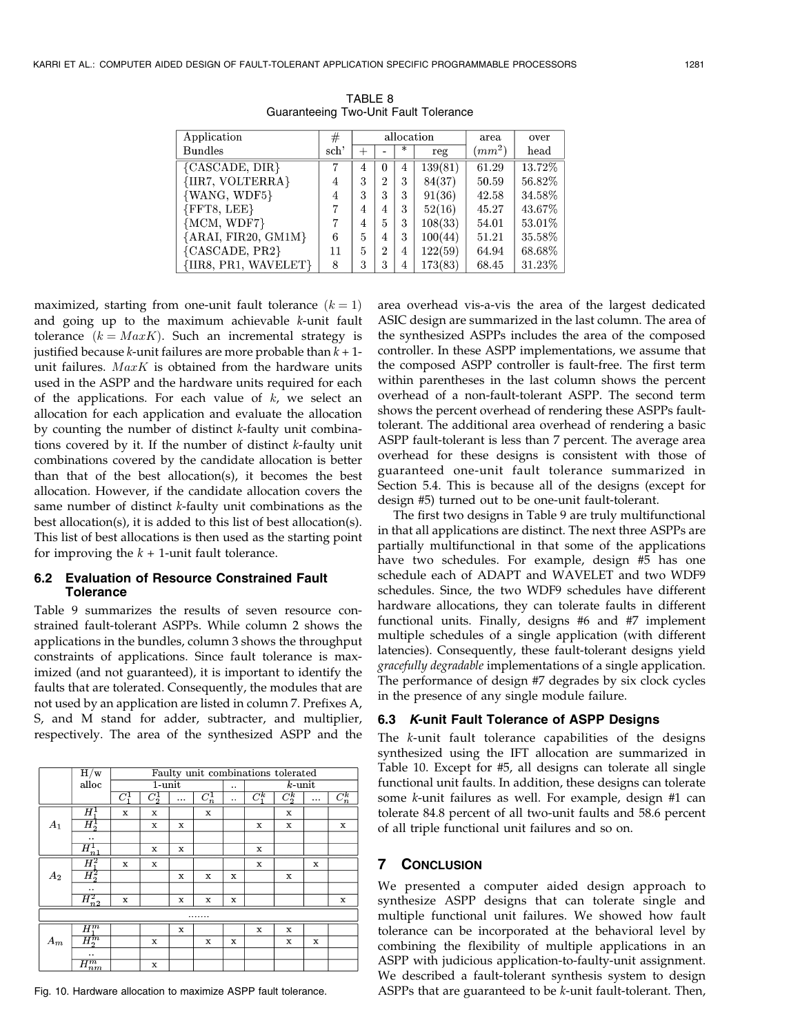| Application          | #    | allocation |                |        |         | area     | over   |
|----------------------|------|------------|----------------|--------|---------|----------|--------|
| <b>Bundles</b>       | sch' | $\pm$      |                | $\ast$ | reg     | $(mm^2)$ | head   |
| {CASCADE, DIR}       |      | 4          | $\theta$       |        | 139(81) | 61.29    | 13.72% |
| {IIR7, VOLTERRA}     | 4    | 3          | $\overline{2}$ | З      | 84(37)  | 50.59    | 56.82% |
| {WANG, WDF5}         | 4    | 3          | 3              | 3      | 91(36)  | 42.58    | 34.58% |
| ${FFT8, LEE}$        |      | 4          | 4              | 3      | 52(16)  | 45.27    | 43.67% |
| {MCM, WDF7}          |      | 4          | 5              | 3      | 108(33) | 54.01    | 53.01% |
| {ARAI, FIR20, GM1M}  | 6    | 5          | 4              | 3      | 100(44) | 51.21    | 35.58% |
| {CASCADE, PR2}       | 11   | 5          | 2              | 4      | 122(59) | 64.94    | 68.68% |
| {IIR8, PR1, WAVELET} | 8    | 3          | 3              | 4      | 173(83) | 68.45    | 31.23% |

TABLE 8 Guaranteeing Two-Unit Fault Tolerance

maximized, starting from one-unit fault tolerance  $(k = 1)$ and going up to the maximum achievable  $k$ -unit fault tolerance  $(k = MaxK)$ . Such an incremental strategy is justified because  $k$ -unit failures are more probable than  $k + 1$ unit failures.  $MaxK$  is obtained from the hardware units used in the ASPP and the hardware units required for each of the applications. For each value of  $k$ , we select an allocation for each application and evaluate the allocation by counting the number of distinct k-faulty unit combinations covered by it. If the number of distinct k-faulty unit combinations covered by the candidate allocation is better than that of the best allocation(s), it becomes the best allocation. However, if the candidate allocation covers the same number of distinct k-faulty unit combinations as the best allocation(s), it is added to this list of best allocation(s). This list of best allocations is then used as the starting point for improving the  $k + 1$ -unit fault tolerance.

#### 6.2 Evaluation of Resource Constrained Fault **Tolerance**

Table 9 summarizes the results of seven resource constrained fault-tolerant ASPPs. While column 2 shows the applications in the bundles, column 3 shows the throughput constraints of applications. Since fault tolerance is maximized (and not guaranteed), it is important to identify the faults that are tolerated. Consequently, the modules that are not used by an application are listed in column 7. Prefixes A, S, and M stand for adder, subtracter, and multiplier, respectively. The area of the synthesized ASPP and the

|       | $\overline{\mathrm{H}}/\mathrm{w}$ |             | Faulty unit combinations tolerated |          |             |                      |             |         |          |         |  |
|-------|------------------------------------|-------------|------------------------------------|----------|-------------|----------------------|-------------|---------|----------|---------|--|
|       | alloc                              |             | $1$ -unit                          |          |             | $\ddot{\phantom{0}}$ | $k$ -unit   |         |          |         |  |
|       |                                    | $C^1_1$     | $C_2^1$                            | $\cdots$ | $C^1_n$     |                      | $C_1^k$     | $C_2^k$ | $\cdots$ | $C_n^k$ |  |
|       | $H^1$                              | x           | x                                  |          | $\mathbf x$ |                      |             | x       |          |         |  |
| $A_1$ | $H^1_2$                            |             | x                                  | x        |             |                      | $\mathbf x$ | x       |          | x       |  |
|       | $\ddot{\phantom{0}}$               |             |                                    |          |             |                      |             |         |          |         |  |
|       | $H^1_{n1}$                         |             | x                                  | х        |             |                      | x           |         |          |         |  |
|       | $H^2_\tau$                         | x           | x                                  |          |             |                      | x           |         | x        |         |  |
| $A_2$ | $\overline{H}{}^2_2$               |             |                                    | x        | X           | X                    |             | x       |          |         |  |
|       | $\ddot{\phantom{0}}$               |             |                                    |          |             |                      |             |         |          |         |  |
|       | $H^2_{n2}$                         | $\mathbf x$ |                                    | x        | $\mathbf x$ | $\mathbf x$          |             |         |          | X       |  |
|       |                                    |             |                                    |          |             |                      |             |         |          |         |  |
|       | $H^{m}$                            |             |                                    | x        |             |                      | $\mathbf x$ | x       |          |         |  |
| $A_m$ | $H_2^{\overline{m}}$               |             | х                                  |          | x           | x                    |             | х       | х        |         |  |
|       |                                    |             |                                    |          |             |                      |             |         |          |         |  |
|       | $H^m_{nm}$                         |             | х                                  |          |             |                      |             |         |          |         |  |

Fig. 10. Hardware allocation to maximize ASPP fault tolerance.

area overhead vis-a-vis the area of the largest dedicated ASIC design are summarized in the last column. The area of the synthesized ASPPs includes the area of the composed controller. In these ASPP implementations, we assume that the composed ASPP controller is fault-free. The first term within parentheses in the last column shows the percent overhead of a non-fault-tolerant ASPP. The second term shows the percent overhead of rendering these ASPPs faulttolerant. The additional area overhead of rendering a basic ASPP fault-tolerant is less than 7 percent. The average area overhead for these designs is consistent with those of guaranteed one-unit fault tolerance summarized in Section 5.4. This is because all of the designs (except for design #5) turned out to be one-unit fault-tolerant.

The first two designs in Table 9 are truly multifunctional in that all applications are distinct. The next three ASPPs are partially multifunctional in that some of the applications have two schedules. For example, design #5 has one schedule each of ADAPT and WAVELET and two WDF9 schedules. Since, the two WDF9 schedules have different hardware allocations, they can tolerate faults in different functional units. Finally, designs #6 and #7 implement multiple schedules of a single application (with different latencies). Consequently, these fault-tolerant designs yield gracefully degradable implementations of a single application. The performance of design #7 degrades by six clock cycles in the presence of any single module failure.

# 6.3 K-unit Fault Tolerance of ASPP Designs

The k-unit fault tolerance capabilities of the designs synthesized using the IFT allocation are summarized in Table 10. Except for #5, all designs can tolerate all single functional unit faults. In addition, these designs can tolerate some k-unit failures as well. For example, design #1 can tolerate 84.8 percent of all two-unit faults and 58.6 percent of all triple functional unit failures and so on.

### 7 CONCLUSION

We presented a computer aided design approach to synthesize ASPP designs that can tolerate single and multiple functional unit failures. We showed how fault tolerance can be incorporated at the behavioral level by combining the flexibility of multiple applications in an ASPP with judicious application-to-faulty-unit assignment. We described a fault-tolerant synthesis system to design ASPPs that are guaranteed to be k-unit fault-tolerant. Then,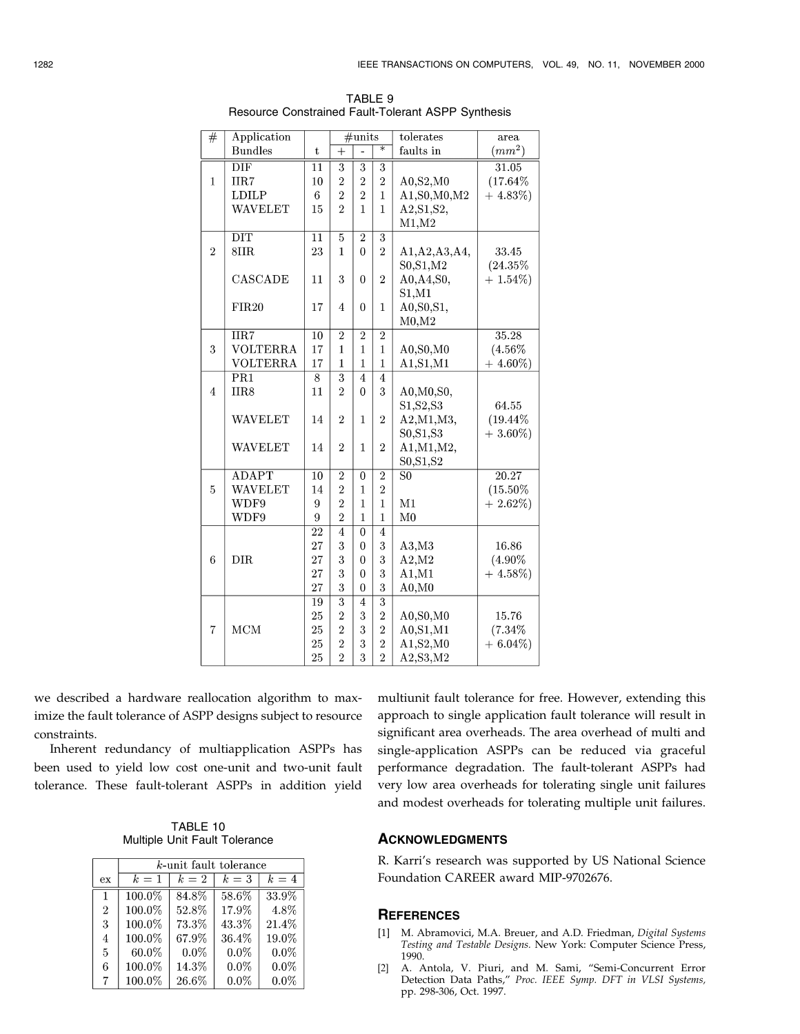| #              | Application              |                 |                     | $\overline{\#units}$ |                                  | tolerates                | area            |
|----------------|--------------------------|-----------------|---------------------|----------------------|----------------------------------|--------------------------|-----------------|
|                | <b>Bundles</b>           | $\mathbf t$     | $\overline{+}$      |                      | $\overline{\ast}$                | faults in                | $(mm^2)$        |
|                | $\overline{DIF}$         | 11              | $\overline{3}$      | $\overline{3}$       | 3                                |                          | 31.05           |
| $\mathbf{1}$   | IIR7                     | 10              | $\overline{2}$      | $\overline{2}$       | $\overline{2}$                   | A0, S2, M0               | (17.64%         |
|                | <b>LDILP</b>             | 6               | $\overline{2}$      | $\overline{2}$       | $\mathbf{1}$                     | A1, S0, M0, M2           | $+4.83\%$       |
|                | <b>WAVELET</b>           | 15              | $\overline{2}$      | $\mathbf{1}$         | $\mathbf{1}$                     | A2, S1, S2,              |                 |
|                |                          |                 |                     |                      |                                  | M1,M2                    |                 |
|                | $\overline{\text{DIT}}$  | 11              | 5                   | $\overline{2}$       | $\overline{\mathbf{3}}$          |                          |                 |
| $\overline{2}$ | 8IIR                     | 23              | $\mathbf{1}$        | $\theta$             | $\overline{2}$                   | A1, A2, A3, A4,          | 33.45           |
|                |                          |                 |                     |                      |                                  | S0, S1, M2               | $(24.35\%$      |
|                | CASCADE                  | 11              | 3                   | 0                    | $\overline{2}$                   | A0, A4, S0,              | $+ 1.54\%)$     |
|                |                          |                 |                     |                      |                                  | S1,M1                    |                 |
|                | FIR20                    | 17              | $\overline{4}$      | 0                    | $\mathbf{1}$                     | A0, S0, S1,              |                 |
|                |                          |                 |                     |                      |                                  | M0, M2                   |                 |
|                | $\overline{\text{IIR7}}$ | $\overline{10}$ | $\overline{2}$      | $\overline{2}$       | $\overline{2}$                   |                          | 35.28           |
| 3              | <b>VOLTERRA</b>          | 17              | $\mathbf{1}$        | $\mathbf{1}$         | $\mathbf{1}$                     | A0, S0, M0               | $(4.56\%$       |
|                | <b>VOLTERRA</b>          | 17              | $\mathbf{1}$        | $\mathbf{1}$         | $\mathbf{1}$                     | A1, S1, M1               | $+4.60\%$ )     |
|                | $\overline{\text{PR1}}$  | $\overline{8}$  | $\overline{3}$      | $\overline{4}$       | $\overline{4}$                   |                          |                 |
| $\overline{4}$ | IIR <sub>8</sub>         | 11              | $\overline{2}$      | $\theta$             | 3                                | A0, M0, S0,              |                 |
|                |                          |                 |                     |                      |                                  | S1, S2, S3               | 64.55           |
|                | <b>WAVELET</b>           | 14              | $\overline{2}$      | $\mathbf{1}$         | $\overline{2}$                   | A2, M1, M3,              | $(19.44\%$      |
|                |                          |                 |                     |                      |                                  | S0, S1, S3               | $+3.60\%)$      |
|                | <b>WAVELET</b>           | 14              | $\overline{2}$      | 1                    | $\overline{2}$                   | A1, M1, M2,              |                 |
|                |                          |                 |                     |                      |                                  | S0, S1, S2               |                 |
|                | <b>ADAPT</b>             | $\overline{10}$ | $\overline{2}$      | $\overline{0}$       | $\overline{2}$                   | $\overline{S}0$          | 20.27           |
| 5              | <b>WAVELET</b>           | 14              | $\overline{2}$      | $\mathbf{1}$         | $\overline{2}$                   |                          | $(15.50\%$      |
|                | WDF9                     | 9               | $\overline{2}$      | $\mathbf{1}$         | $\mathbf{1}$                     | M1                       | $+2.62\%)$      |
|                | WDF9                     | 9               | $\overline{2}$      | $\mathbf{1}$         | $\mathbf{1}$                     | M <sub>0</sub>           |                 |
|                |                          | $\overline{22}$ | $\overline{4}$      | $\overline{0}$       | $\overline{4}$                   |                          |                 |
|                |                          | 27              | 3                   | $\overline{0}$       | 3                                | A3, M3                   | 16.86           |
| 6              | DIR.                     | 27              | 3                   | $\theta$             | 3                                | A2,M2                    | $(4.90\%$       |
|                |                          | 27              | 3                   | $\theta$             | 3                                | A1, M1                   | $+4.58\%)$      |
|                |                          | 27              | 3<br>$\overline{3}$ | $\overline{0}$       | 3                                | A0, M0                   |                 |
|                |                          | 19<br>25        | $\overline{2}$      | $\overline{4}$<br>3  | $\overline{3}$                   |                          |                 |
| 7              | <b>MCM</b>               | 25              | $\overline{2}$      | 3                    | $\overline{2}$<br>$\overline{2}$ | A0, S0, M0<br>A0, S1, M1 | 15.76<br>(7.34% |
|                |                          | 25              | $\overline{2}$      | 3                    | $\overline{2}$                   | A1, S2, M0               | $+ 6.04\%)$     |
|                |                          | 25              | $\overline{2}$      | 3                    | $\overline{2}$                   | A2, S3, M2               |                 |
|                |                          |                 |                     |                      |                                  |                          |                 |

TABLE 9 Resource Constrained Fault-Tolerant ASPP Synthesis

we described a hardware reallocation algorithm to maximize the fault tolerance of ASPP designs subject to resource constraints.

Inherent redundancy of multiapplication ASPPs has been used to yield low cost one-unit and two-unit fault tolerance. These fault-tolerant ASPPs in addition yield

TABLE 10 Multiple Unit Fault Tolerance

|                | k-unit fault tolerance |          |         |         |
|----------------|------------------------|----------|---------|---------|
| ex             | $k=1$                  | $k=2$    | $k=3$   | $k=4$   |
| $\mathbf{1}$   | 100.0%                 | 84.8%    | 58.6%   | 33.9%   |
| $\overline{2}$ | 100.0%                 | 52.8%    | 17.9%   | 4.8%    |
| 3              | 100.0%                 | 73.3%    | 43.3%   | 21.4%   |
| $\overline{4}$ | 100.0%                 | 67.9%    | 36.4%   | 19.0%   |
| 5              | $60.0\%$               | $0.0\%$  | $0.0\%$ | $0.0\%$ |
| 6              | 100.0%                 | $14.3\%$ | $0.0\%$ | $0.0\%$ |
| 7              | 100.0%                 | 26.6%    | $0.0\%$ | $0.0\%$ |

multiunit fault tolerance for free. However, extending this approach to single application fault tolerance will result in significant area overheads. The area overhead of multi and single-application ASPPs can be reduced via graceful performance degradation. The fault-tolerant ASPPs had very low area overheads for tolerating single unit failures and modest overheads for tolerating multiple unit failures.

# **ACKNOWLEDGMENTS**

R. Karri's research was supported by US National Science Foundation CAREER award MIP-9702676.

# **REFERENCES**

- [1] M. Abramovici, M.A. Breuer, and A.D. Friedman, Digital Systems Testing and Testable Designs. New York: Computer Science Press, 1990.
- [2] A. Antola, V. Piuri, and M. Sami, ªSemi-Concurrent Error Detection Data Paths,º Proc. IEEE Symp. DFT in VLSI Systems, pp. 298-306, Oct. 1997.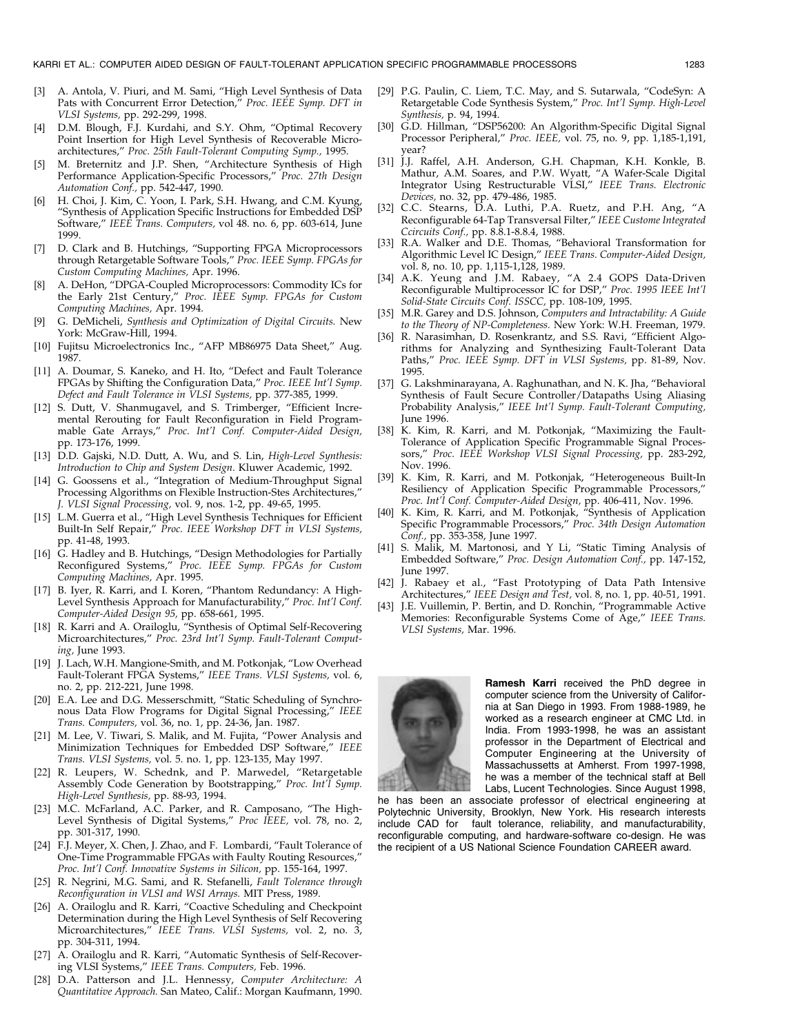- A. Antola, V. Piuri, and M. Sami, "High Level Synthesis of Data Pats with Concurrent Error Detection," Proc. IEEE Symp. DFT in VLSI Systems, pp. 292-299, 1998.
- [4] D.M. Blough, F.J. Kurdahi, and S.Y. Ohm, "Optimal Recovery Point Insertion for High Level Synthesis of Recoverable Microarchitectures," Proc. 25th Fault-Tolerant Computing Symp., 1995.
- [5] M. Breternitz and J.P. Shen, "Architecture Synthesis of High Performance Application-Specific Processors," Proc. 27th Design Automation Conf., pp. 542-447, 1990.
- H. Choi, J. Kim, C. Yoon, I. Park, S.H. Hwang, and C.M. Kyung, ªSynthesis of Application Specific Instructions for Embedded DSP Software," IEEE Trans. Computers, vol 48. no. 6, pp. 603-614, June 1999.
- [7] D. Clark and B. Hutchings, "Supporting FPGA Microprocessors through Retargetable Software Tools," Proc. IEEE Symp. FPGAs for Custom Computing Machines, Apr. 1996.
- A. DeHon, "DPGA-Coupled Microprocessors: Commodity ICs for the Early 21st Century," Proc. IEEE Symp. FPGAs for Custom Computing Machines, Apr. 1994.
- [9] G. DeMicheli, Synthesis and Optimization of Digital Circuits. New York: McGraw-Hill, 1994.
- [10] Fujitsu Microelectronics Inc., "AFP MB86975 Data Sheet," Aug. 1987.
- [11] A. Doumar, S. Kaneko, and H. Ito, "Defect and Fault Tolerance FPGAs by Shifting the Configuration Data," Proc. IEEE Int'l Symp. Defect and Fault Tolerance in VLSI Systems, pp. 377-385, 1999.
- [12] S. Dutt, V. Shanmugavel, and S. Trimberger, "Efficient Incremental Rerouting for Fault Reconfiguration in Field Programmable Gate Arrays," Proc. Int'l Conf. Computer-Aided Design, pp. 173-176, 1999.
- [13] D.D. Gajski, N.D. Dutt, A. Wu, and S. Lin, High-Level Synthesis: Introduction to Chip and System Design. Kluwer Academic, 1992.
- G. Goossens et al., "Integration of Medium-Throughput Signal Processing Algorithms on Flexible Instruction-Stes Architectures,' J. VLSI Signal Processing, vol. 9, nos. 1-2, pp. 49-65, 1995.
- [15] L.M. Guerra et al., "High Level Synthesis Techniques for Efficient Built-In Self Repair," Proc. IEEE Workshop DFT in VLSI Systems, pp. 41-48, 1993.
- [16] G. Hadley and B. Hutchings, "Design Methodologies for Partially Reconfigured Systems," Proc. IEEE Symp. FPGAs for Custom Computing Machines, Apr. 1995.
- [17] B. Iyer, R. Karri, and I. Koren, "Phantom Redundancy: A High-Level Synthesis Approach for Manufacturability," Proc. Int'l Conf. Computer-Aided Design 95, pp. 658-661, 1995.
- [18] R. Karri and A. Orailoglu, "Synthesis of Optimal Self-Recovering Microarchitectures," Proc. 23rd Int'l Symp. Fault-Tolerant Computing, June 1993.
- [19] J. Lach, W.H. Mangione-Smith, and M. Potkonjak, "Low Overhead Fault-Tolerant FPGA Systems," IEEE Trans. VLSI Systems, vol. 6, no. 2, pp. 212-221, June 1998.
- [20] E.A. Lee and D.G. Messerschmitt, "Static Scheduling of Synchronous Data Flow Programs for Digital Signal Processing," IEEE Trans. Computers, vol. 36, no. 1, pp. 24-36, Jan. 1987.
- [21] M. Lee, V. Tiwari, S. Malik, and M. Fujita, "Power Analysis and Minimization Techniques for Embedded DSP Software," IEEE Trans. VLSI Systems, vol. 5. no. 1, pp. 123-135, May 1997.
- [22] R. Leupers, W. Schednk, and P. Marwedel, "Retargetable Assembly Code Generation by Bootstrapping," Proc. Int'l Symp. High-Level Synthesis, pp. 88-93, 1994.
- [23] M.C. McFarland, A.C. Parker, and R. Camposano, "The High-Level Synthesis of Digital Systems," Proc IEEE, vol. 78, no. 2, pp. 301-317, 1990.
- [24] F.J. Meyer, X. Chen, J. Zhao, and F. Lombardi, "Fault Tolerance of One-Time Programmable FPGAs with Faulty Routing Resources,' Proc. Int'l Conf. Innovative Systems in Silicon, pp. 155-164, 1997.
- [25] R. Negrini, M.G. Sami, and R. Stefanelli, Fault Tolerance through Reconfiguration in VLSI and WSI Arrays. MIT Press, 1989.
- [26] A. Orailoglu and R. Karri, "Coactive Scheduling and Checkpoint Determination during the High Level Synthesis of Self Recovering Microarchitectures," IEEE Trans. VLSI Systems, vol. 2, no. 3, pp. 304-311, 1994.
- [27] A. Orailoglu and R. Karri, "Automatic Synthesis of Self-Recovering VLSI Systems," IEEE Trans. Computers, Feb. 1996.
- [28] D.A. Patterson and J.L. Hennessy, Computer Architecture: A Quantitative Approach. San Mateo, Calif.: Morgan Kaufmann, 1990.
- [29] P.G. Paulin, C. Liem, T.C. May, and S. Sutarwala, "CodeSyn: A Retargetable Code Synthesis System," Proc. Int'l Symp. High-Level Synthesis, p. 94, 1994.
- [30] G.D. Hillman, "DSP56200: An Algorithm-Specific Digital Signal Processor Peripheral," Proc. IEEE, vol. 75, no. 9, pp. 1,185-1,191, year?
- [31] J.J. Raffel, A.H. Anderson, G.H. Chapman, K.H. Konkle, B. Mathur, A.M. Soares, and P.W. Wyatt, ªA Wafer-Scale Digital Integrator Using Restructurable VLSI,º IEEE Trans. Electronic Devices, no. 32, pp. 479-486, 1985.
- [32] C.C. Stearns, D.A. Luthi, P.A. Ruetz, and P.H. Ang, "A Reconfigurable 64-Tap Transversal Filter," IEEE Custome Integrated Ccircuits Conf., pp. 8.8.1-8.8.4, 1988.
- [33] R.A. Walker and D.E. Thomas, "Behavioral Transformation for Algorithmic Level IC Design," IEEE Trans. Computer-Aided Design, vol. 8, no. 10, pp. 1,115-1,128, 1989.
- [34] A.K. Yeung and J.M. Rabaey, ªA 2.4 GOPS Data-Driven Reconfigurable Multiprocessor IC for DSP," Proc. 1995 IEEE Int'l Solid-State Circuits Conf. ISSCC, pp. 108-109, 1995.
- [35] M.R. Garey and D.S. Johnson, Computers and Intractability: A Guide to the Theory of NP-Completeness. New York: W.H. Freeman, 1979.
- [36] R. Narasimhan, D. Rosenkrantz, and S.S. Ravi, "Efficient Algorithms for Analyzing and Synthesizing Fault-Tolerant Data Paths," Proc. IEEE Symp. DFT in VLSI Systems, pp. 81-89, Nov. 1995.
- [37] G. Lakshminarayana, A. Raghunathan, and N. K. Jha, "Behavioral Synthesis of Fault Secure Controller/Datapaths Using Aliasing Probability Analysis," IEEE Int'l Symp. Fault-Tolerant Computing, June 1996.
- [38] K. Kim, R. Karri, and M. Potkonjak, "Maximizing the Fault-Tolerance of Application Specific Programmable Signal Processors," Proc. IEEE Workshop VLSI Signal Processing, pp. 283-292, Nov. 1996.
- [39] K. Kim, R. Karri, and M. Potkonjak, "Heterogeneous Built-In Resiliency of Application Specific Programmable Processors,' Proc. Int'l Conf. Computer-Aided Design, pp. 406-411, Nov. 1996.
- [40] K. Kim, R. Karri, and M. Potkonjak, "Synthesis of Application Specific Programmable Processors," Proc. 34th Design Automation Conf., pp. 353-358, June 1997.
- [41] S. Malik, M. Martonosi, and Y Li, "Static Timing Analysis of Embedded Software," Proc. Design Automation Conf., pp. 147-152, June 1997.
- [42] J. Rabaey et al., "Fast Prototyping of Data Path Intensive Architectures," IEEE Design and Test, vol. 8, no. 1, pp. 40-51, 1991.
- [43] J.E. Vuillemin, P. Bertin, and D. Ronchin, "Programmable Active Memories: Reconfigurable Systems Come of Age," IEEE Trans. VLSI Systems, Mar. 1996.



Ramesh Karri received the PhD degree in computer science from the University of California at San Diego in 1993. From 1988-1989, he worked as a research engineer at CMC Ltd. in India. From 1993-1998, he was an assistant professor in the Department of Electrical and Computer Engineering at the University of Massachussetts at Amherst. From 1997-1998, he was a member of the technical staff at Bell Labs, Lucent Technologies. Since August 1998,

he has been an associate professor of electrical engineering at Polytechnic University, Brooklyn, New York. His research interests include CAD for fault tolerance, reliability, and manufacturability, reconfigurable computing, and hardware-software co-design. He was the recipient of a US National Science Foundation CAREER award.